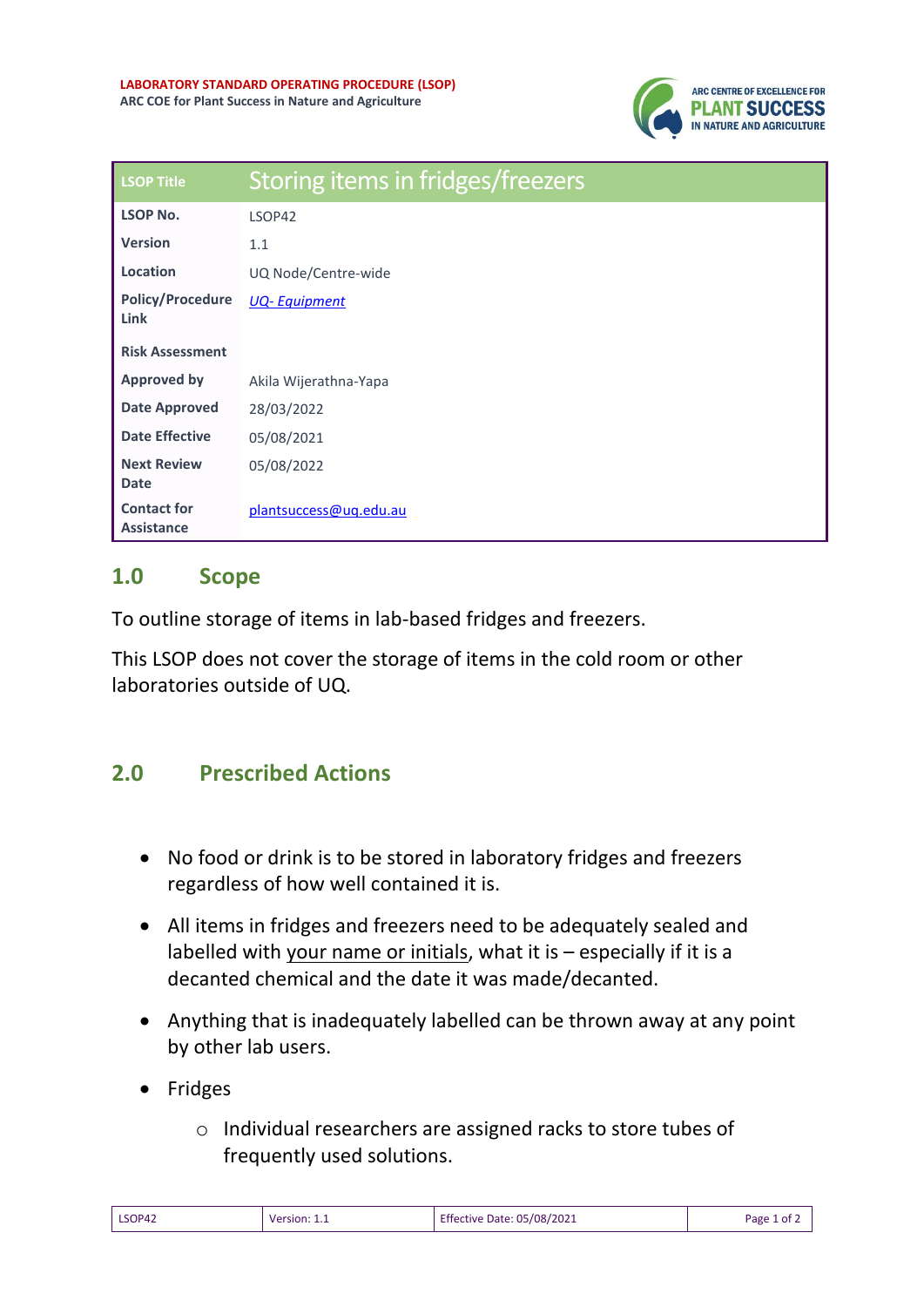

| <b>LSOP Title</b>                       | Storing items in fridges/freezers |
|-----------------------------------------|-----------------------------------|
| <b>LSOP No.</b>                         | LSOP42                            |
| <b>Version</b>                          | 1.1                               |
| Location                                | UQ Node/Centre-wide               |
| <b>Policy/Procedure</b><br><b>Link</b>  | <b>UQ-Equipment</b>               |
| <b>Risk Assessment</b>                  |                                   |
| <b>Approved by</b>                      | Akila Wijerathna-Yapa             |
| <b>Date Approved</b>                    | 28/03/2022                        |
| <b>Date Effective</b>                   | 05/08/2021                        |
| <b>Next Review</b><br><b>Date</b>       | 05/08/2022                        |
| <b>Contact for</b><br><b>Assistance</b> | plantsuccess@uq.edu.au            |

## **1.0 Scope**

To outline storage of items in lab-based fridges and freezers.

This LSOP does not cover the storage of items in the cold room or other laboratories outside of UQ.

## **2.0 Prescribed Actions**

- No food or drink is to be stored in laboratory fridges and freezers regardless of how well contained it is.
- All items in fridges and freezers need to be adequately sealed and labelled with your name or initials, what it is – especially if it is a decanted chemical and the date it was made/decanted.
- Anything that is inadequately labelled can be thrown away at any point by other lab users.
- Fridges
	- o Individual researchers are assigned racks to store tubes of frequently used solutions.

| LSOP42 | Version: 1.1 | <b>Effective Date: 05/08/2021</b> | Page 1 of $\angle$ |
|--------|--------------|-----------------------------------|--------------------|
|--------|--------------|-----------------------------------|--------------------|